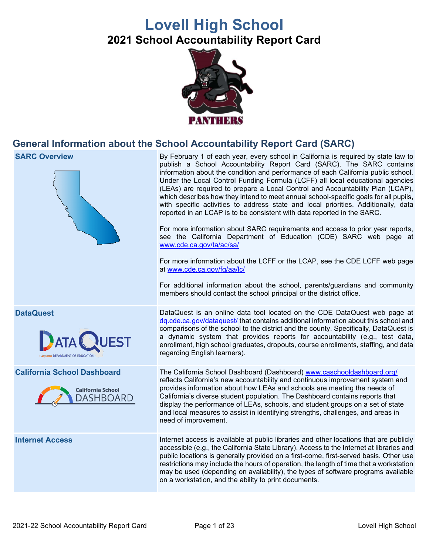# **Lovell High School 2021 School Accountability Report Card**



# **General Information about the School Accountability Report Card (SARC)**



**SARC Overview EXEC SARC Overview** By February 1 of each year, every school in California is required by state law to publish a School Accountability Report Card (SARC). The SARC contains information about the condition and performance of each California public school. Under the Local Control Funding Formula (LCFF) all local educational agencies (LEAs) are required to prepare a Local Control and Accountability Plan (LCAP), which describes how they intend to meet annual school-specific goals for all pupils, with specific activities to address state and local priorities. Additionally, data reported in an LCAP is to be consistent with data reported in the SARC.

> For more information about SARC requirements and access to prior year reports, see the California Department of Education (CDE) SARC web page at [www.cde.ca.gov/ta/ac/sa/](https://www.cde.ca.gov/ta/ac/sa/)

> For more information about the LCFF or the LCAP, see the CDE LCFF web page at [www.cde.ca.gov/fg/aa/lc/](https://www.cde.ca.gov/fg/aa/lc/)

> For additional information about the school, parents/guardians and community members should contact the school principal or the district office.

**DataQuest** DataQuest **DataQuest** is an online data tool located on the CDE DataQuest web page at [dq.cde.ca.gov/dataquest/](https://dq.cde.ca.gov/dataquest/) that contains additional information about this school and comparisons of the school to the district and the county. Specifically, DataQuest is a dynamic system that provides reports for accountability (e.g., test data, enrollment, high school graduates, dropouts, course enrollments, staffing, and data regarding English learners).

**California School Dashboard** The California School Dashboard (Dashboard) [www.caschooldashboard.org/](http://www.caschooldashboard.org/) reflects California's new accountability and continuous improvement system and provides information about how LEAs and schools are meeting the needs of California's diverse student population. The Dashboard contains reports that display the performance of LEAs, schools, and student groups on a set of state and local measures to assist in identifying strengths, challenges, and areas in need of improvement.

**Internet Access** Internet access is available at public libraries and other locations that are publicly accessible (e.g., the California State Library). Access to the Internet at libraries and public locations is generally provided on a first-come, first-served basis. Other use restrictions may include the hours of operation, the length of time that a workstation may be used (depending on availability), the types of software programs available on a workstation, and the ability to print documents.



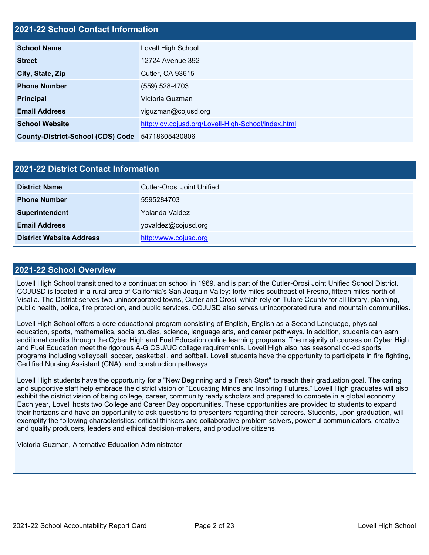### **2021-22 School Contact Information**

| <b>School Name</b>                               | Lovell High School                                  |
|--------------------------------------------------|-----------------------------------------------------|
| <b>Street</b>                                    | 12724 Avenue 392                                    |
| City, State, Zip                                 | <b>Cutler, CA 93615</b>                             |
| <b>Phone Number</b>                              | (559) 528-4703                                      |
| <b>Principal</b>                                 | Victoria Guzman                                     |
| <b>Email Address</b>                             | viguzman@cojusd.org                                 |
| <b>School Website</b>                            | http://lov.cojusd.org/Lovell-High-School/index.html |
| County-District-School (CDS) Code 54718605430806 |                                                     |

| 2021-22 District Contact Information |                            |  |  |  |
|--------------------------------------|----------------------------|--|--|--|
| <b>District Name</b>                 | Cutler-Orosi Joint Unified |  |  |  |
| <b>Phone Number</b>                  | 5595284703                 |  |  |  |
| Superintendent                       | Yolanda Valdez             |  |  |  |
| <b>Email Address</b>                 | yovaldez@cojusd.org        |  |  |  |
| <b>District Website Address</b>      | http://www.cojusd.org      |  |  |  |

#### **2021-22 School Overview**

Lovell High School transitioned to a continuation school in 1969, and is part of the Cutler-Orosi Joint Unified School District. COJUSD is located in a rural area of California's San Joaquin Valley: forty miles southeast of Fresno, fifteen miles north of Visalia. The District serves two unincorporated towns, Cutler and Orosi, which rely on Tulare County for all library, planning, public health, police, fire protection, and public services. COJUSD also serves unincorporated rural and mountain communities.

Lovell High School offers a core educational program consisting of English, English as a Second Language, physical education, sports, mathematics, social studies, science, language arts, and career pathways. In addition, students can earn additional credits through the Cyber High and Fuel Education online learning programs. The majority of courses on Cyber High and Fuel Education meet the rigorous A-G CSU/UC college requirements. Lovell High also has seasonal co-ed sports programs including volleyball, soccer, basketball, and softball. Lovell students have the opportunity to participate in fire fighting, Certified Nursing Assistant (CNA), and construction pathways.

Lovell High students have the opportunity for a "New Beginning and a Fresh Start" to reach their graduation goal. The caring and supportive staff help embrace the district vision of "Educating Minds and Inspiring Futures." Lovell High graduates will also exhibit the district vision of being college, career, community ready scholars and prepared to compete in a global economy. Each year, Lovell hosts two College and Career Day opportunities. These opportunities are provided to students to expand their horizons and have an opportunity to ask questions to presenters regarding their careers. Students, upon graduation, will exemplify the following characteristics: critical thinkers and collaborative problem-solvers, powerful communicators, creative and quality producers, leaders and ethical decision-makers, and productive citizens.

Victoria Guzman, Alternative Education Administrator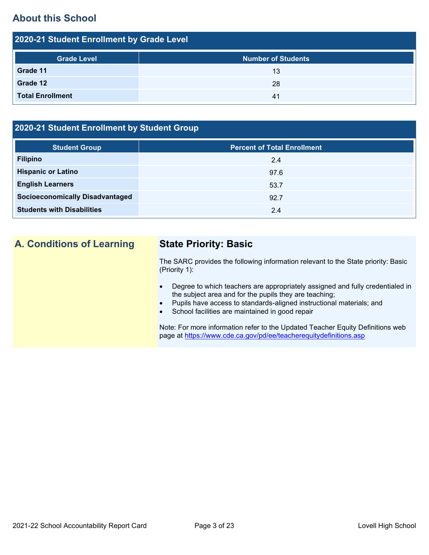# **About this School**

| 2020-21 Student Enrollment by Grade Level |                           |  |  |  |  |
|-------------------------------------------|---------------------------|--|--|--|--|
| <b>Grade Level</b>                        | <b>Number of Students</b> |  |  |  |  |
| Grade 11                                  | 13                        |  |  |  |  |
| Grade 12                                  | 28                        |  |  |  |  |
| <b>Total Enrollment</b>                   | 41                        |  |  |  |  |

## **2020-21 Student Enrollment by Student Group**

| <b>Student Group</b>                   | <b>Percent of Total Enrollment</b> |
|----------------------------------------|------------------------------------|
| <b>Filipino</b>                        | 2.4                                |
| <b>Hispanic or Latino</b>              | 97.6                               |
| <b>English Learners</b>                | 53.7                               |
| <b>Socioeconomically Disadvantaged</b> | 92.7                               |
| <b>Students with Disabilities</b>      | 2.4                                |

# **A. Conditions of Learning State Priority: Basic**

The SARC provides the following information relevant to the State priority: Basic (Priority 1):

- Degree to which teachers are appropriately assigned and fully credentialed in the subject area and for the pupils they are teaching;
- Pupils have access to standards-aligned instructional materials; and
- School facilities are maintained in good repair

Note: For more information refer to the Updated Teacher Equity Definitions web page at<https://www.cde.ca.gov/pd/ee/teacherequitydefinitions.asp>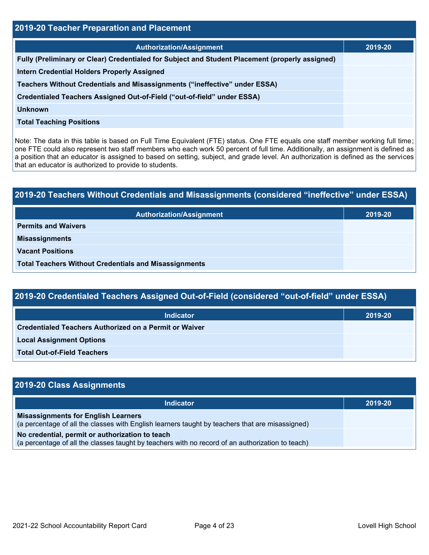| 2019-20 Teacher Preparation and Placement                                                       |         |  |  |  |
|-------------------------------------------------------------------------------------------------|---------|--|--|--|
| <b>Authorization/Assignment</b>                                                                 | 2019-20 |  |  |  |
| Fully (Preliminary or Clear) Credentialed for Subject and Student Placement (properly assigned) |         |  |  |  |
| <b>Intern Credential Holders Properly Assigned</b>                                              |         |  |  |  |
| Teachers Without Credentials and Misassignments ("ineffective" under ESSA)                      |         |  |  |  |
| Credentialed Teachers Assigned Out-of-Field ("out-of-field" under ESSA)                         |         |  |  |  |
| <b>Unknown</b>                                                                                  |         |  |  |  |
| <b>Total Teaching Positions</b>                                                                 |         |  |  |  |

Note: The data in this table is based on Full Time Equivalent (FTE) status. One FTE equals one staff member working full time; one FTE could also represent two staff members who each work 50 percent of full time. Additionally, an assignment is defined as a position that an educator is assigned to based on setting, subject, and grade level. An authorization is defined as the services that an educator is authorized to provide to students.

# **2019-20 Teachers Without Credentials and Misassignments (considered "ineffective" under ESSA) Authorization/Assignment 2019-20 Permits and Waivers Misassignments Vacant Positions Total Teachers Without Credentials and Misassignments**

| 2019-20 Credentialed Teachers Assigned Out-of-Field (considered "out-of-field" under ESSA) |         |  |  |  |
|--------------------------------------------------------------------------------------------|---------|--|--|--|
| <b>Indicator</b>                                                                           | 2019-20 |  |  |  |
| Credentialed Teachers Authorized on a Permit or Waiver                                     |         |  |  |  |
| <b>Local Assignment Options</b>                                                            |         |  |  |  |
| <b>Total Out-of-Field Teachers</b>                                                         |         |  |  |  |

| 2019-20 Class Assignments                                                                                                                           |         |
|-----------------------------------------------------------------------------------------------------------------------------------------------------|---------|
| <b>Indicator</b>                                                                                                                                    | 2019-20 |
| <b>Misassignments for English Learners</b><br>(a percentage of all the classes with English learners taught by teachers that are misassigned)       |         |
| No credential, permit or authorization to teach<br>(a percentage of all the classes taught by teachers with no record of an authorization to teach) |         |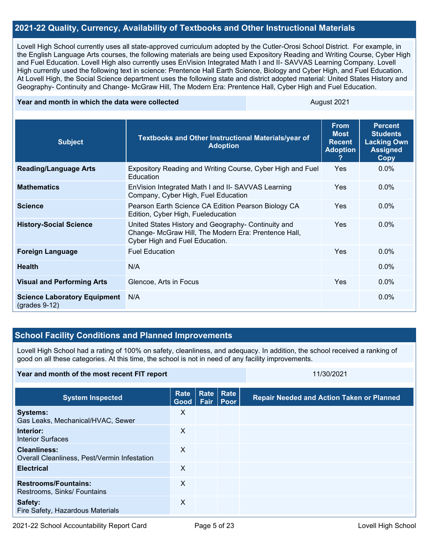#### **2021-22 Quality, Currency, Availability of Textbooks and Other Instructional Materials**

Lovell High School currently uses all state-approved curriculum adopted by the Cutler-Orosi School District. For example, in the English Language Arts courses, the following materials are being used Expository Reading and Writing Course, Cyber High and Fuel Education. Lovell High also currently uses EnVision Integrated Math I and II- SAVVAS Learning Company. Lovell High currently used the following text in science: Prentence Hall Earth Science, Biology and Cyber High, and Fuel Education. At Lovell High, the Social Science department uses the following state and district adopted material: United States History and Geography- Continuity and Change- McGraw Hill, The Modern Era: Prentence Hall, Cyber High and Fuel Education.

#### **Year and month in which the data were collected August 2021** August 2021

| <b>Subject</b>                                             | <b>Textbooks and Other Instructional Materials/year of</b><br><b>Adoption</b>                                                                 | <b>From</b><br><b>Most</b><br><b>Recent</b><br><b>Adoption</b><br>7 | <b>Percent</b><br><b>Students</b><br><b>Lacking Own</b><br><b>Assigned</b><br><b>Copy</b> |
|------------------------------------------------------------|-----------------------------------------------------------------------------------------------------------------------------------------------|---------------------------------------------------------------------|-------------------------------------------------------------------------------------------|
| <b>Reading/Language Arts</b>                               | Expository Reading and Writing Course, Cyber High and Fuel<br>Education                                                                       | <b>Yes</b>                                                          | $0.0\%$                                                                                   |
| <b>Mathematics</b>                                         | EnVision Integrated Math I and II- SAVVAS Learning<br>Company, Cyber High, Fuel Education                                                     | <b>Yes</b>                                                          | $0.0\%$                                                                                   |
| <b>Science</b>                                             | Pearson Earth Science CA Edition Pearson Biology CA<br>Edition, Cyber High, Fueleducation                                                     | <b>Yes</b>                                                          | $0.0\%$                                                                                   |
| <b>History-Social Science</b>                              | United States History and Geography- Continuity and<br>Change- McGraw Hill, The Modern Era: Prentence Hall,<br>Cyber High and Fuel Education. | <b>Yes</b>                                                          | $0.0\%$                                                                                   |
| <b>Foreign Language</b>                                    | <b>Fuel Education</b>                                                                                                                         | <b>Yes</b>                                                          | $0.0\%$                                                                                   |
| <b>Health</b>                                              | N/A                                                                                                                                           |                                                                     | $0.0\%$                                                                                   |
| <b>Visual and Performing Arts</b>                          | Glencoe, Arts in Focus                                                                                                                        | <b>Yes</b>                                                          | $0.0\%$                                                                                   |
| <b>Science Laboratory Equipment</b><br>$($ grades 9-12 $)$ | N/A                                                                                                                                           |                                                                     | $0.0\%$                                                                                   |

### **School Facility Conditions and Planned Improvements**

Lovell High School had a rating of 100% on safety, cleanliness, and adequacy. In addition, the school received a ranking of good on all these categories. At this time, the school is not in need of any facility improvements.

#### **Year and month of the most recent FIT report** 11/30/2021 11/30/2021

| <b>System Inspected</b>                                             | <b>Rate</b><br>Good | Rate Rate<br>Fair   Poor | <b>Repair Needed and Action Taken or Planned</b> |
|---------------------------------------------------------------------|---------------------|--------------------------|--------------------------------------------------|
| <b>Systems:</b><br>Gas Leaks, Mechanical/HVAC, Sewer                | X                   |                          |                                                  |
| Interior:<br><b>Interior Surfaces</b>                               | X                   |                          |                                                  |
| <b>Cleanliness:</b><br>Overall Cleanliness, Pest/Vermin Infestation | X                   |                          |                                                  |
| <b>Electrical</b>                                                   | X                   |                          |                                                  |
| <b>Restrooms/Fountains:</b><br>Restrooms, Sinks/ Fountains          | $\times$            |                          |                                                  |
| Safety:<br>Fire Safety, Hazardous Materials                         | X                   |                          |                                                  |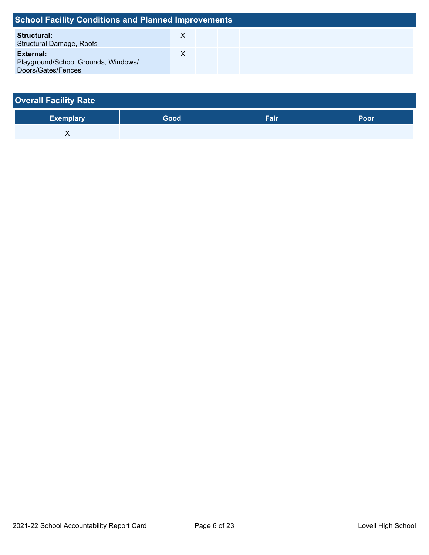| <b>School Facility Conditions and Planned Improvements</b>             |  |  |  |  |  |  |  |
|------------------------------------------------------------------------|--|--|--|--|--|--|--|
| <b>Structural:</b><br><b>Structural Damage, Roofs</b>                  |  |  |  |  |  |  |  |
| External:<br>Playground/School Grounds, Windows/<br>Doors/Gates/Fences |  |  |  |  |  |  |  |

| <b>Overall Facility Rate</b> |      |      |      |
|------------------------------|------|------|------|
| <b>Exemplary</b>             | Good | Fair | Poor |
|                              |      |      |      |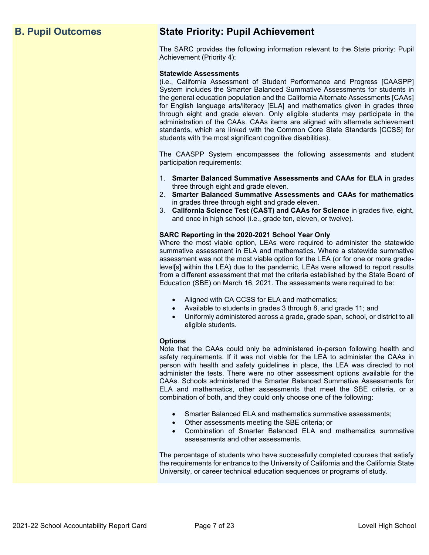# **B. Pupil Outcomes State Priority: Pupil Achievement**

The SARC provides the following information relevant to the State priority: Pupil Achievement (Priority 4):

#### **Statewide Assessments**

(i.e., California Assessment of Student Performance and Progress [CAASPP] System includes the Smarter Balanced Summative Assessments for students in the general education population and the California Alternate Assessments [CAAs] for English language arts/literacy [ELA] and mathematics given in grades three through eight and grade eleven. Only eligible students may participate in the administration of the CAAs. CAAs items are aligned with alternate achievement standards, which are linked with the Common Core State Standards [CCSS] for students with the most significant cognitive disabilities).

The CAASPP System encompasses the following assessments and student participation requirements:

- 1. **Smarter Balanced Summative Assessments and CAAs for ELA** in grades three through eight and grade eleven.
- 2. **Smarter Balanced Summative Assessments and CAAs for mathematics** in grades three through eight and grade eleven.
- 3. **California Science Test (CAST) and CAAs for Science** in grades five, eight, and once in high school (i.e., grade ten, eleven, or twelve).

#### **SARC Reporting in the 2020-2021 School Year Only**

Where the most viable option, LEAs were required to administer the statewide summative assessment in ELA and mathematics. Where a statewide summative assessment was not the most viable option for the LEA (or for one or more gradelevel[s] within the LEA) due to the pandemic, LEAs were allowed to report results from a different assessment that met the criteria established by the State Board of Education (SBE) on March 16, 2021. The assessments were required to be:

- Aligned with CA CCSS for ELA and mathematics;
- Available to students in grades 3 through 8, and grade 11; and
- Uniformly administered across a grade, grade span, school, or district to all eligible students.

#### **Options**

Note that the CAAs could only be administered in-person following health and safety requirements. If it was not viable for the LEA to administer the CAAs in person with health and safety guidelines in place, the LEA was directed to not administer the tests. There were no other assessment options available for the CAAs. Schools administered the Smarter Balanced Summative Assessments for ELA and mathematics, other assessments that meet the SBE criteria, or a combination of both, and they could only choose one of the following:

- Smarter Balanced ELA and mathematics summative assessments;
- Other assessments meeting the SBE criteria; or
- Combination of Smarter Balanced ELA and mathematics summative assessments and other assessments.

The percentage of students who have successfully completed courses that satisfy the requirements for entrance to the University of California and the California State University, or career technical education sequences or programs of study.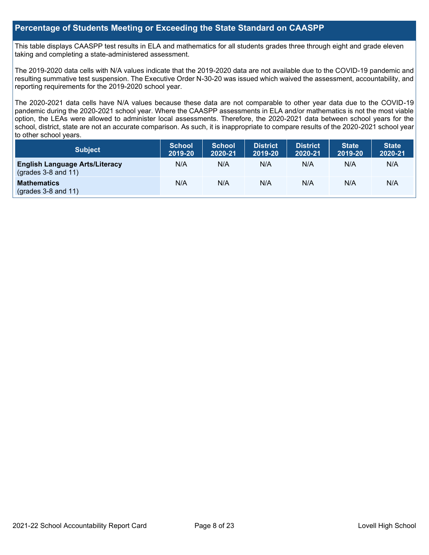#### **Percentage of Students Meeting or Exceeding the State Standard on CAASPP**

This table displays CAASPP test results in ELA and mathematics for all students grades three through eight and grade eleven taking and completing a state-administered assessment.

The 2019-2020 data cells with N/A values indicate that the 2019-2020 data are not available due to the COVID-19 pandemic and resulting summative test suspension. The Executive Order N-30-20 was issued which waived the assessment, accountability, and reporting requirements for the 2019-2020 school year.

The 2020-2021 data cells have N/A values because these data are not comparable to other year data due to the COVID-19 pandemic during the 2020-2021 school year. Where the CAASPP assessments in ELA and/or mathematics is not the most viable option, the LEAs were allowed to administer local assessments. Therefore, the 2020-2021 data between school years for the school, district, state are not an accurate comparison. As such, it is inappropriate to compare results of the 2020-2021 school year to other school years.

| <b>Subject</b>                                                       | <b>School</b><br>2019-20 | <b>School</b><br>2020-21 | <b>District</b><br>2019-20 | <b>District</b><br>2020-21 | <b>State</b><br>2019-20 | <b>State</b><br>2020-21 |
|----------------------------------------------------------------------|--------------------------|--------------------------|----------------------------|----------------------------|-------------------------|-------------------------|
| <b>English Language Arts/Literacy</b><br>$\left($ grades 3-8 and 11) | N/A                      | N/A                      | N/A                        | N/A                        | N/A                     | N/A                     |
| <b>Mathematics</b><br>$($ grades 3-8 and 11 $)$                      | N/A                      | N/A                      | N/A                        | N/A                        | N/A                     | N/A                     |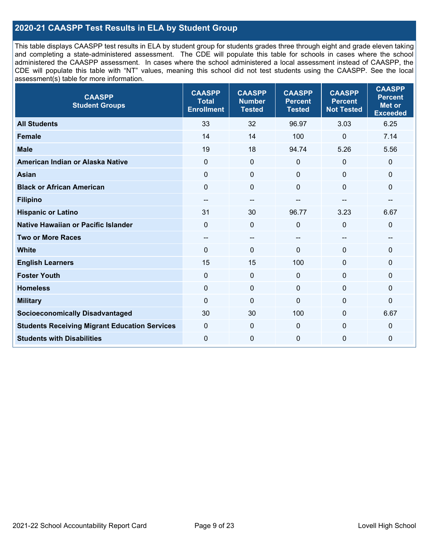### **2020-21 CAASPP Test Results in ELA by Student Group**

This table displays CAASPP test results in ELA by student group for students grades three through eight and grade eleven taking and completing a state-administered assessment. The CDE will populate this table for schools in cases where the school administered the CAASPP assessment. In cases where the school administered a local assessment instead of CAASPP, the CDE will populate this table with "NT" values, meaning this school did not test students using the CAASPP. See the local assessment(s) table for more information.

| <b>CAASPP</b><br><b>Student Groups</b>               | <b>CAASPP</b><br><b>Total</b><br><b>Enrollment</b> | <b>CAASPP</b><br><b>Number</b><br><b>Tested</b> | <b>CAASPP</b><br><b>Percent</b><br><b>Tested</b> | <b>CAASPP</b><br><b>Percent</b><br><b>Not Tested</b> | <b>CAASPP</b><br><b>Percent</b><br><b>Met or</b><br><b>Exceeded</b> |
|------------------------------------------------------|----------------------------------------------------|-------------------------------------------------|--------------------------------------------------|------------------------------------------------------|---------------------------------------------------------------------|
| <b>All Students</b>                                  | 33                                                 | 32                                              | 96.97                                            | 3.03                                                 | 6.25                                                                |
| <b>Female</b>                                        | 14                                                 | 14                                              | 100                                              | $\Omega$                                             | 7.14                                                                |
| <b>Male</b>                                          | 19                                                 | 18                                              | 94.74                                            | 5.26                                                 | 5.56                                                                |
| American Indian or Alaska Native                     | $\mathbf{0}$                                       | $\pmb{0}$                                       | $\mathbf 0$                                      | $\mathbf 0$                                          | 0                                                                   |
| <b>Asian</b>                                         | $\mathbf 0$                                        | $\mathbf 0$                                     | $\mathbf{0}$                                     | $\Omega$                                             | 0                                                                   |
| <b>Black or African American</b>                     | $\Omega$                                           | $\mathbf 0$                                     | $\Omega$                                         | $\Omega$                                             | 0                                                                   |
| <b>Filipino</b>                                      | $- -$                                              | $\overline{\phantom{a}}$                        | --                                               | --                                                   | --                                                                  |
| <b>Hispanic or Latino</b>                            | 31                                                 | 30                                              | 96.77                                            | 3.23                                                 | 6.67                                                                |
| <b>Native Hawaiian or Pacific Islander</b>           | $\mathbf 0$                                        | $\mathbf 0$                                     | $\mathbf 0$                                      | $\mathbf 0$                                          | 0                                                                   |
| <b>Two or More Races</b>                             | $-$                                                | $\overline{\phantom{a}}$                        | --                                               | --                                                   | --                                                                  |
| <b>White</b>                                         | $\Omega$                                           | $\mathbf 0$                                     | $\Omega$                                         | $\Omega$                                             | 0                                                                   |
| <b>English Learners</b>                              | 15                                                 | 15                                              | 100                                              | $\Omega$                                             | $\Omega$                                                            |
| <b>Foster Youth</b>                                  | $\mathbf 0$                                        | $\mathbf 0$                                     | $\mathbf{0}$                                     | $\mathbf 0$                                          | $\Omega$                                                            |
| <b>Homeless</b>                                      | $\mathbf 0$                                        | $\pmb{0}$                                       | $\mathbf 0$                                      | $\mathbf 0$                                          | 0                                                                   |
| <b>Military</b>                                      | $\Omega$                                           | $\pmb{0}$                                       | $\Omega$                                         | $\Omega$                                             | 0                                                                   |
| <b>Socioeconomically Disadvantaged</b>               | 30                                                 | 30                                              | 100                                              | $\Omega$                                             | 6.67                                                                |
| <b>Students Receiving Migrant Education Services</b> | $\mathbf 0$                                        | 0                                               | $\mathbf{0}$                                     | $\Omega$                                             | 0                                                                   |
| <b>Students with Disabilities</b>                    | $\mathbf 0$                                        | $\mathbf 0$                                     | $\mathbf{0}$                                     | $\overline{0}$                                       | 0                                                                   |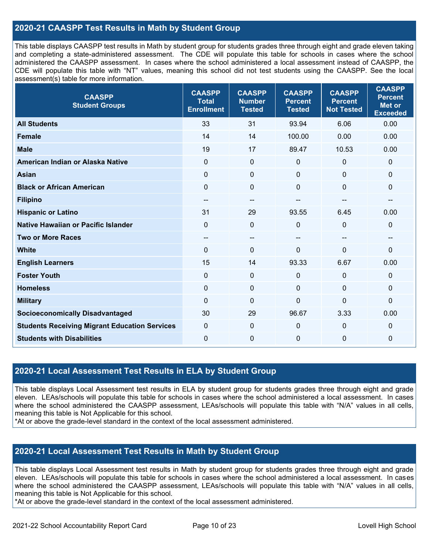### **2020-21 CAASPP Test Results in Math by Student Group**

This table displays CAASPP test results in Math by student group for students grades three through eight and grade eleven taking and completing a state-administered assessment. The CDE will populate this table for schools in cases where the school administered the CAASPP assessment. In cases where the school administered a local assessment instead of CAASPP, the CDE will populate this table with "NT" values, meaning this school did not test students using the CAASPP. See the local assessment(s) table for more information.

| <b>CAASPP</b><br><b>Student Groups</b>               | <b>CAASPP</b><br><b>Total</b><br><b>Enrollment</b> | <b>CAASPP</b><br><b>Number</b><br><b>Tested</b> | <b>CAASPP</b><br><b>Percent</b><br><b>Tested</b> | <b>CAASPP</b><br><b>Percent</b><br><b>Not Tested</b> | <b>CAASPP</b><br><b>Percent</b><br>Met or<br><b>Exceeded</b> |
|------------------------------------------------------|----------------------------------------------------|-------------------------------------------------|--------------------------------------------------|------------------------------------------------------|--------------------------------------------------------------|
| <b>All Students</b>                                  | 33                                                 | 31                                              | 93.94                                            | 6.06                                                 | 0.00                                                         |
| <b>Female</b>                                        | 14                                                 | 14                                              | 100.00                                           | 0.00                                                 | 0.00                                                         |
| <b>Male</b>                                          | 19                                                 | 17                                              | 89.47                                            | 10.53                                                | 0.00                                                         |
| American Indian or Alaska Native                     | $\mathbf 0$                                        | $\pmb{0}$                                       | $\mathbf 0$                                      | $\mathbf 0$                                          | $\mathbf 0$                                                  |
| <b>Asian</b>                                         | $\mathbf 0$                                        | $\pmb{0}$                                       | $\mathbf 0$                                      | 0                                                    | $\mathbf 0$                                                  |
| <b>Black or African American</b>                     | $\mathbf{0}$                                       | $\mathbf{0}$                                    | $\mathbf{0}$                                     | $\mathbf{0}$                                         | $\mathbf{0}$                                                 |
| <b>Filipino</b>                                      | $\overline{\phantom{a}}$                           | $\overline{\phantom{a}}$                        | $-$                                              | --                                                   | --                                                           |
| <b>Hispanic or Latino</b>                            | 31                                                 | 29                                              | 93.55                                            | 6.45                                                 | 0.00                                                         |
| <b>Native Hawaiian or Pacific Islander</b>           | $\Omega$                                           | $\pmb{0}$                                       | 0                                                | $\Omega$                                             | $\mathbf 0$                                                  |
| <b>Two or More Races</b>                             | $- -$                                              | $\sim$                                          | --                                               | --                                                   | --                                                           |
| <b>White</b>                                         | $\mathbf{0}$                                       | $\mathbf 0$                                     | $\Omega$                                         | 0                                                    | $\mathbf 0$                                                  |
| <b>English Learners</b>                              | 15                                                 | 14                                              | 93.33                                            | 6.67                                                 | 0.00                                                         |
| <b>Foster Youth</b>                                  | $\Omega$                                           | $\mathbf 0$                                     | $\Omega$                                         | $\mathbf{0}$                                         | $\mathbf 0$                                                  |
| <b>Homeless</b>                                      | 0                                                  | $\mathbf 0$                                     | $\mathbf{0}$                                     | $\mathbf{0}$                                         | $\mathbf 0$                                                  |
| <b>Military</b>                                      | $\mathbf 0$                                        | $\pmb{0}$                                       | 0                                                | 0                                                    | 0                                                            |
| <b>Socioeconomically Disadvantaged</b>               | 30                                                 | 29                                              | 96.67                                            | 3.33                                                 | 0.00                                                         |
| <b>Students Receiving Migrant Education Services</b> | $\mathbf 0$                                        | $\pmb{0}$                                       | 0                                                | $\mathbf 0$                                          | 0                                                            |
| <b>Students with Disabilities</b>                    | $\mathbf 0$                                        | $\pmb{0}$                                       | $\mathbf{0}$                                     | 0                                                    | 0                                                            |

#### **2020-21 Local Assessment Test Results in ELA by Student Group**

This table displays Local Assessment test results in ELA by student group for students grades three through eight and grade eleven. LEAs/schools will populate this table for schools in cases where the school administered a local assessment. In cases where the school administered the CAASPP assessment, LEAs/schools will populate this table with "N/A" values in all cells, meaning this table is Not Applicable for this school.

\*At or above the grade-level standard in the context of the local assessment administered.

#### **2020-21 Local Assessment Test Results in Math by Student Group**

This table displays Local Assessment test results in Math by student group for students grades three through eight and grade eleven. LEAs/schools will populate this table for schools in cases where the school administered a local assessment. In cases where the school administered the CAASPP assessment, LEAs/schools will populate this table with "N/A" values in all cells, meaning this table is Not Applicable for this school.

\*At or above the grade-level standard in the context of the local assessment administered.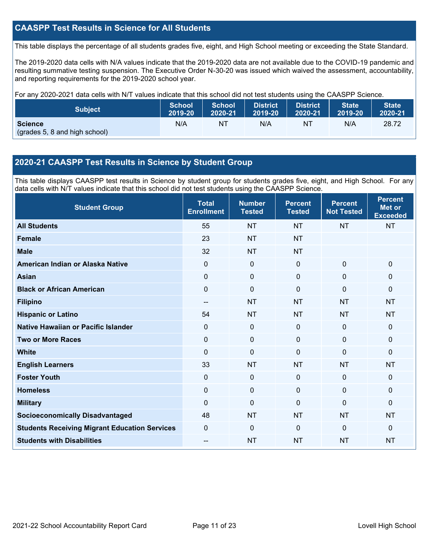### **CAASPP Test Results in Science for All Students**

This table displays the percentage of all students grades five, eight, and High School meeting or exceeding the State Standard.

The 2019-2020 data cells with N/A values indicate that the 2019-2020 data are not available due to the COVID-19 pandemic and resulting summative testing suspension. The Executive Order N-30-20 was issued which waived the assessment, accountability, and reporting requirements for the 2019-2020 school year.

For any 2020-2021 data cells with N/T values indicate that this school did not test students using the CAASPP Science.

| <b>Subject</b>                                  | <b>School</b> | <b>School</b> | <b>District</b> | District | <b>State</b> | <b>State</b> |
|-------------------------------------------------|---------------|---------------|-----------------|----------|--------------|--------------|
|                                                 | 2019-20       | 2020-21       | 2019-20         | 2020-21  | 2019-20      | 2020-21      |
| <b>Science</b><br>(grades 5, 8 and high school) | N/A           | NT            | N/A             | NT       | N/A          | 28.72        |

#### **2020-21 CAASPP Test Results in Science by Student Group**

This table displays CAASPP test results in Science by student group for students grades five, eight, and High School. For any data cells with N/T values indicate that this school did not test students using the CAASPP Science.

| <b>Student Group</b>                                 | <b>Total</b><br><b>Enrollment</b> | <b>Number</b><br><b>Tested</b> | <b>Percent</b><br><b>Tested</b> | <b>Percent</b><br><b>Not Tested</b> | <b>Percent</b><br><b>Met or</b><br><b>Exceeded</b> |
|------------------------------------------------------|-----------------------------------|--------------------------------|---------------------------------|-------------------------------------|----------------------------------------------------|
| <b>All Students</b>                                  | 55                                | <b>NT</b>                      | <b>NT</b>                       | <b>NT</b>                           | <b>NT</b>                                          |
| <b>Female</b>                                        | 23                                | <b>NT</b>                      | <b>NT</b>                       |                                     |                                                    |
| <b>Male</b>                                          | 32                                | <b>NT</b>                      | <b>NT</b>                       |                                     |                                                    |
| American Indian or Alaska Native                     | $\Omega$                          | 0                              | $\mathbf 0$                     | $\mathbf 0$                         | $\mathbf 0$                                        |
| <b>Asian</b>                                         | 0                                 | $\pmb{0}$                      | $\mathbf 0$                     | $\mathbf 0$                         | $\mathbf 0$                                        |
| <b>Black or African American</b>                     | 0                                 | $\pmb{0}$                      | $\mathbf 0$                     | $\Omega$                            | $\mathbf 0$                                        |
| <b>Filipino</b>                                      | --                                | <b>NT</b>                      | <b>NT</b>                       | <b>NT</b>                           | <b>NT</b>                                          |
| <b>Hispanic or Latino</b>                            | 54                                | <b>NT</b>                      | <b>NT</b>                       | <b>NT</b>                           | <b>NT</b>                                          |
| Native Hawaiian or Pacific Islander                  | 0                                 | $\mathbf 0$                    | $\mathbf{0}$                    | $\overline{0}$                      | $\mathbf 0$                                        |
| <b>Two or More Races</b>                             | 0                                 | $\mathbf 0$                    | $\mathbf 0$                     | $\mathbf 0$                         | $\mathbf 0$                                        |
| <b>White</b>                                         | $\Omega$                          | 0                              | $\mathbf{0}$                    | $\Omega$                            | $\mathbf{0}$                                       |
| <b>English Learners</b>                              | 33                                | <b>NT</b>                      | <b>NT</b>                       | <b>NT</b>                           | <b>NT</b>                                          |
| <b>Foster Youth</b>                                  | 0                                 | 0                              | $\mathbf 0$                     | 0                                   | $\mathbf 0$                                        |
| <b>Homeless</b>                                      | 0                                 | $\mathbf 0$                    | $\mathbf 0$                     | $\Omega$                            | $\mathbf 0$                                        |
| <b>Military</b>                                      | $\Omega$                          | 0                              | $\mathbf{0}$                    | $\Omega$                            | $\mathbf{0}$                                       |
| <b>Socioeconomically Disadvantaged</b>               | 48                                | <b>NT</b>                      | <b>NT</b>                       | <b>NT</b>                           | <b>NT</b>                                          |
| <b>Students Receiving Migrant Education Services</b> | $\Omega$                          | $\Omega$                       | $\Omega$                        | $\Omega$                            | $\mathbf{0}$                                       |
| <b>Students with Disabilities</b>                    | --                                | <b>NT</b>                      | <b>NT</b>                       | <b>NT</b>                           | <b>NT</b>                                          |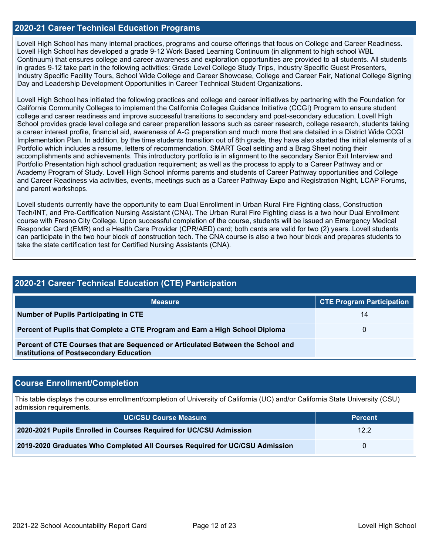#### **2020-21 Career Technical Education Programs**

Lovell High School has many internal practices, programs and course offerings that focus on College and Career Readiness. Lovell High School has developed a grade 9-12 Work Based Learning Continuum (in alignment to high school WBL Continuum) that ensures college and career awareness and exploration opportunities are provided to all students. All students in grades 9-12 take part in the following activities: Grade Level College Study Trips, Industry Specific Guest Presenters, Industry Specific Facility Tours, School Wide College and Career Showcase, College and Career Fair, National College Signing Day and Leadership Development Opportunities in Career Technical Student Organizations.

Lovell High School has initiated the following practices and college and career initiatives by partnering with the Foundation for California Community Colleges to implement the California Colleges Guidance Initiative (CCGI) Program to ensure student college and career readiness and improve successful transitions to secondary and post-secondary education. Lovell High School provides grade level college and career preparation lessons such as career research, college research, students taking a career interest profile, financial aid, awareness of A-G preparation and much more that are detailed in a District Wide CCGI Implementation Plan. In addition, by the time students transition out of 8th grade, they have also started the initial elements of a Portfolio which includes a resume, letters of recommendation, SMART Goal setting and a Brag Sheet noting their accomplishments and achievements. This introductory portfolio is in alignment to the secondary Senior Exit Interview and Portfolio Presentation high school graduation requirement; as well as the process to apply to a Career Pathway and or Academy Program of Study. Lovell High School informs parents and students of Career Pathway opportunities and College and Career Readiness via activities, events, meetings such as a Career Pathway Expo and Registration Night, LCAP Forums, and parent workshops.

Lovell students currently have the opportunity to earn Dual Enrollment in Urban Rural Fire Fighting class, Construction Tech/INT, and Pre-Certification Nursing Assistant (CNA). The Urban Rural Fire Fighting class is a two hour Dual Enrollment course with Fresno City College. Upon successful completion of the course, students will be issued an Emergency Medical Responder Card (EMR) and a Health Care Provider (CPR/AED) card; both cards are valid for two (2) years. Lovell students can participate in the two hour block of construction tech. The CNA course is also a two hour block and prepares students to take the state certification test for Certified Nursing Assistants (CNA).

| <b>2020-21 Career Technical Education (CTE) Participation</b>                                                                     |                                  |  |  |  |  |  |
|-----------------------------------------------------------------------------------------------------------------------------------|----------------------------------|--|--|--|--|--|
| <b>Measure</b>                                                                                                                    | <b>CTE Program Participation</b> |  |  |  |  |  |
| Number of Pupils Participating in CTE                                                                                             | 14                               |  |  |  |  |  |
| Percent of Pupils that Complete a CTE Program and Earn a High School Diploma                                                      | 0                                |  |  |  |  |  |
| Percent of CTE Courses that are Sequenced or Articulated Between the School and<br><b>Institutions of Postsecondary Education</b> |                                  |  |  |  |  |  |

#### **Course Enrollment/Completion**

This table displays the course enrollment/completion of University of California (UC) and/or California State University (CSU) admission requirements.

| <b>UC/CSU Course Measure</b>                                                | <b>Percent</b> |
|-----------------------------------------------------------------------------|----------------|
| 2020-2021 Pupils Enrolled in Courses Required for UC/CSU Admission          | 12.2           |
| 2019-2020 Graduates Who Completed All Courses Required for UC/CSU Admission |                |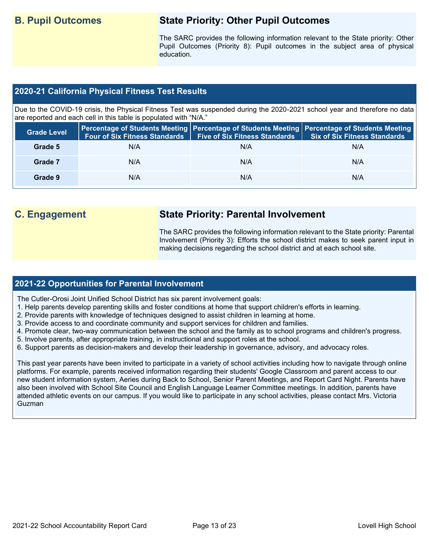# **B. Pupil Outcomes State Priority: Other Pupil Outcomes**

The SARC provides the following information relevant to the State priority: Other Pupil Outcomes (Priority 8): Pupil outcomes in the subject area of physical education.

#### **2020-21 California Physical Fitness Test Results**

Due to the COVID-19 crisis, the Physical Fitness Test was suspended during the 2020-2021 school year and therefore no data are reported and each cell in this table is populated with "N/A."

| <b>Grade Level</b> | <b>Four of Six Fitness Standards</b> | <b>Five of Six Fitness Standards</b> | Percentage of Students Meeting   Percentage of Students Meeting   Percentage of Students Meeting  <br><b>Six of Six Fitness Standards</b> |
|--------------------|--------------------------------------|--------------------------------------|-------------------------------------------------------------------------------------------------------------------------------------------|
| Grade 5            | N/A                                  | N/A                                  | N/A                                                                                                                                       |
| Grade 7            | N/A                                  | N/A                                  | N/A                                                                                                                                       |
| Grade 9            | N/A                                  | N/A                                  | N/A                                                                                                                                       |

# **C. Engagement State Priority: Parental Involvement**

The SARC provides the following information relevant to the State priority: Parental Involvement (Priority 3): Efforts the school district makes to seek parent input in making decisions regarding the school district and at each school site.

#### **2021-22 Opportunities for Parental Involvement**

The Cutler-Orosi Joint Unified School District has six parent involvement goals:

- 1. Help parents develop parenting skills and foster conditions at home that support children's efforts in learning.
- 2. Provide parents with knowledge of techniques designed to assist children in learning at home.
- 3. Provide access to and coordinate community and support services for children and families.
- 4. Promote clear, two-way communication between the school and the family as to school programs and children's progress.
- 5. Involve parents, after appropriate training, in instructional and support roles at the school.
- 6. Support parents as decision-makers and develop their leadership in governance, advisory, and advocacy roles.

This past year parents have been invited to participate in a variety of school activities including how to navigate through online platforms. For example, parents received information regarding their students' Google Classroom and parent access to our new student information system, Aeries during Back to School, Senior Parent Meetings, and Report Card Night. Parents have also been involved with School Site Council and English Language Learner Committee meetings. In addition, parents have attended athletic events on our campus. If you would like to participate in any school activities, please contact Mrs. Victoria Guzman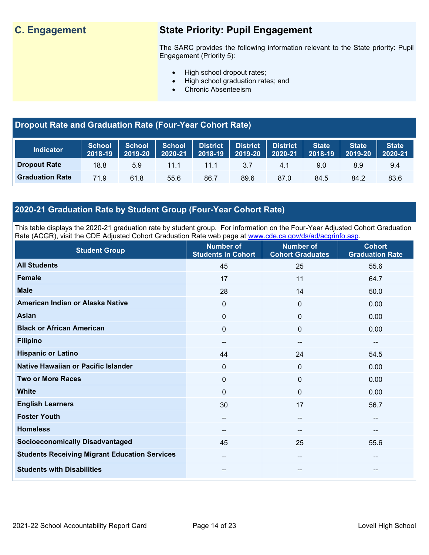# **C. Engagement State Priority: Pupil Engagement**

The SARC provides the following information relevant to the State priority: Pupil Engagement (Priority 5):

- High school dropout rates;
- High school graduation rates; and
- Chronic Absenteeism

## **Dropout Rate and Graduation Rate (Four-Year Cohort Rate)**

| <b>Indicator</b>       | School<br>2018-19 | <b>School</b><br>2019-20 | <b>School</b><br>2020-21 | District<br>$2018 - 19$ | <b>District</b><br>2019-20 | <b>District</b><br>2020-21 | <b>State</b><br>2018-19 | <b>State</b><br>2019-20 | <b>State</b><br>2020-21 |
|------------------------|-------------------|--------------------------|--------------------------|-------------------------|----------------------------|----------------------------|-------------------------|-------------------------|-------------------------|
| <b>Dropout Rate</b>    | 18.8              | 5.9                      | 11.1                     | 11.1                    | 3.7                        | 4.1                        | 9.0                     | 8.9                     | 9.4                     |
| <b>Graduation Rate</b> | 71.9              | 61.8                     | 55.6                     | 86.7                    | 89.6                       | 87.0                       | 84.5                    | 84.2                    | 83.6                    |

## **2020-21 Graduation Rate by Student Group (Four-Year Cohort Rate)**

This table displays the 2020-21 graduation rate by student group. For information on the Four-Year Adjusted Cohort Graduation Rate (ACGR), visit the CDE Adjusted Cohort Graduation Rate web page at [www.cde.ca.gov/ds/ad/acgrinfo.asp.](http://www.cde.ca.gov/ds/ad/acgrinfo.asp)

| <b>Student Group</b>                                 | <b>Number of</b><br><b>Students in Cohort</b> | <b>Number of</b><br><b>Cohort Graduates</b> | <b>Cohort</b><br><b>Graduation Rate</b> |
|------------------------------------------------------|-----------------------------------------------|---------------------------------------------|-----------------------------------------|
| <b>All Students</b>                                  | 45                                            | 25                                          | 55.6                                    |
| <b>Female</b>                                        | 17                                            | 11                                          | 64.7                                    |
| <b>Male</b>                                          | 28                                            | 14                                          | 50.0                                    |
| American Indian or Alaska Native                     | 0                                             | $\mathbf 0$                                 | 0.00                                    |
| <b>Asian</b>                                         | 0                                             | $\mathbf 0$                                 | 0.00                                    |
| <b>Black or African American</b>                     | 0                                             | $\mathbf 0$                                 | 0.00                                    |
| <b>Filipino</b>                                      | $\sim$                                        | $\hspace{0.05cm}$                           | $- -$                                   |
| <b>Hispanic or Latino</b>                            | 44                                            | 24                                          | 54.5                                    |
| Native Hawaiian or Pacific Islander                  | 0                                             | $\mathbf{0}$                                | 0.00                                    |
| <b>Two or More Races</b>                             | 0                                             | $\mathbf 0$                                 | 0.00                                    |
| <b>White</b>                                         | $\Omega$                                      | $\mathbf{0}$                                | 0.00                                    |
| <b>English Learners</b>                              | 30                                            | 17                                          | 56.7                                    |
| <b>Foster Youth</b>                                  | $\overline{\phantom{a}}$                      | $\overline{\phantom{a}}$                    | $\overline{\phantom{a}}$                |
| <b>Homeless</b>                                      | $\overline{\phantom{a}}$                      | $\overline{\phantom{a}}$                    | --                                      |
| <b>Socioeconomically Disadvantaged</b>               | 45                                            | 25                                          | 55.6                                    |
| <b>Students Receiving Migrant Education Services</b> | --                                            | $\sim$                                      | --                                      |
| <b>Students with Disabilities</b>                    | --                                            | $\sim$                                      | --                                      |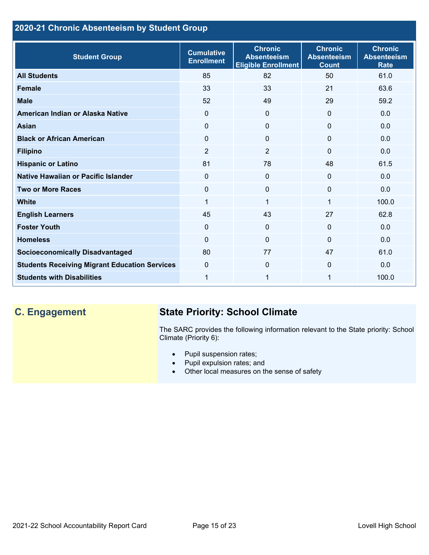## **2020-21 Chronic Absenteeism by Student Group**

| <b>Student Group</b>                                 | <b>Cumulative</b><br><b>Enrollment</b> | <b>Chronic</b><br><b>Absenteeism</b><br><b>Eligible Enrollment</b> | <b>Chronic</b><br><b>Absenteeism</b><br><b>Count</b> | <b>Chronic</b><br><b>Absenteeism</b><br><b>Rate</b> |
|------------------------------------------------------|----------------------------------------|--------------------------------------------------------------------|------------------------------------------------------|-----------------------------------------------------|
| <b>All Students</b>                                  | 85                                     | 82                                                                 | 50                                                   | 61.0                                                |
| <b>Female</b>                                        | 33                                     | 33                                                                 | 21                                                   | 63.6                                                |
| <b>Male</b>                                          | 52                                     | 49                                                                 | 29                                                   | 59.2                                                |
| American Indian or Alaska Native                     | 0                                      | $\Omega$                                                           | $\Omega$                                             | 0.0                                                 |
| Asian                                                | 0                                      | $\Omega$                                                           | $\mathbf{0}$                                         | 0.0                                                 |
| <b>Black or African American</b>                     | 0                                      | $\mathbf{0}$                                                       | $\mathbf 0$                                          | 0.0                                                 |
| <b>Filipino</b>                                      | $\overline{2}$                         | $\overline{2}$                                                     | $\Omega$                                             | 0.0                                                 |
| <b>Hispanic or Latino</b>                            | 81                                     | 78                                                                 | 48                                                   | 61.5                                                |
| Native Hawaiian or Pacific Islander                  | $\Omega$                               | $\mathbf{0}$                                                       | $\mathbf 0$                                          | 0.0                                                 |
| <b>Two or More Races</b>                             | 0                                      | $\mathbf{0}$                                                       | $\mathbf 0$                                          | 0.0                                                 |
| <b>White</b>                                         | 1                                      | 1                                                                  | 1                                                    | 100.0                                               |
| <b>English Learners</b>                              | 45                                     | 43                                                                 | 27                                                   | 62.8                                                |
| <b>Foster Youth</b>                                  | $\Omega$                               | $\Omega$                                                           | $\mathbf{0}$                                         | 0.0                                                 |
| <b>Homeless</b>                                      | 0                                      | $\mathbf 0$                                                        | $\Omega$                                             | 0.0                                                 |
| <b>Socioeconomically Disadvantaged</b>               | 80                                     | 77                                                                 | 47                                                   | 61.0                                                |
| <b>Students Receiving Migrant Education Services</b> | $\mathbf 0$                            | $\Omega$                                                           | $\Omega$                                             | 0.0                                                 |
| <b>Students with Disabilities</b>                    | 1                                      | 1                                                                  | 1                                                    | 100.0                                               |

# **C. Engagement State Priority: School Climate**

The SARC provides the following information relevant to the State priority: School Climate (Priority 6):

- Pupil suspension rates;
- Pupil expulsion rates; and
- Other local measures on the sense of safety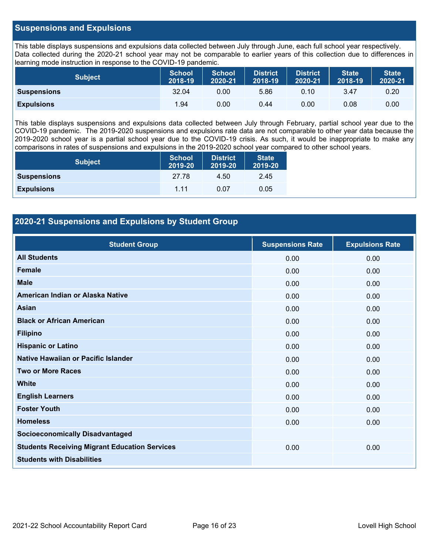#### **Suspensions and Expulsions**

This table displays suspensions and expulsions data collected between July through June, each full school year respectively. Data collected during the 2020-21 school year may not be comparable to earlier years of this collection due to differences in learning mode instruction in response to the COVID-19 pandemic.

| <b>Subject</b>     | <b>School</b><br>2018-19 | <b>School</b><br>2020-21 | <b>District</b><br>2018-19 | <b>District</b><br>2020-21 | <b>State</b><br>2018-19 | <b>State</b><br>2020-21 |
|--------------------|--------------------------|--------------------------|----------------------------|----------------------------|-------------------------|-------------------------|
| <b>Suspensions</b> | 32.04                    | 0.00                     | 5.86                       | 0.10                       | 3.47                    | 0.20                    |
| <b>Expulsions</b>  | 1.94                     | 0.00                     | 0.44                       | 0.00                       | 0.08                    | 0.00                    |

This table displays suspensions and expulsions data collected between July through February, partial school year due to the COVID-19 pandemic. The 2019-2020 suspensions and expulsions rate data are not comparable to other year data because the 2019-2020 school year is a partial school year due to the COVID-19 crisis. As such, it would be inappropriate to make any comparisons in rates of suspensions and expulsions in the 2019-2020 school year compared to other school years.

| <b>Subject</b>     | <b>School</b><br>2019-20 | <b>District</b><br>2019-20 | <b>State</b><br>2019-20 |
|--------------------|--------------------------|----------------------------|-------------------------|
| <b>Suspensions</b> | 27.78                    | 4.50                       | 2.45                    |
| <b>Expulsions</b>  | 1 1 1                    | 0.07                       | 0.05                    |

### **2020-21 Suspensions and Expulsions by Student Group**

| <b>Student Group</b>                                 | <b>Suspensions Rate</b> | <b>Expulsions Rate</b> |
|------------------------------------------------------|-------------------------|------------------------|
| <b>All Students</b>                                  | 0.00                    | 0.00                   |
| <b>Female</b>                                        | 0.00                    | 0.00                   |
| <b>Male</b>                                          | 0.00                    | 0.00                   |
| American Indian or Alaska Native                     | 0.00                    | 0.00                   |
| <b>Asian</b>                                         | 0.00                    | 0.00                   |
| <b>Black or African American</b>                     | 0.00                    | 0.00                   |
| <b>Filipino</b>                                      | 0.00                    | 0.00                   |
| <b>Hispanic or Latino</b>                            | 0.00                    | 0.00                   |
| Native Hawaiian or Pacific Islander                  | 0.00                    | 0.00                   |
| <b>Two or More Races</b>                             | 0.00                    | 0.00                   |
| <b>White</b>                                         | 0.00                    | 0.00                   |
| <b>English Learners</b>                              | 0.00                    | 0.00                   |
| <b>Foster Youth</b>                                  | 0.00                    | 0.00                   |
| <b>Homeless</b>                                      | 0.00                    | 0.00                   |
| <b>Socioeconomically Disadvantaged</b>               |                         |                        |
| <b>Students Receiving Migrant Education Services</b> | 0.00                    | 0.00                   |
| <b>Students with Disabilities</b>                    |                         |                        |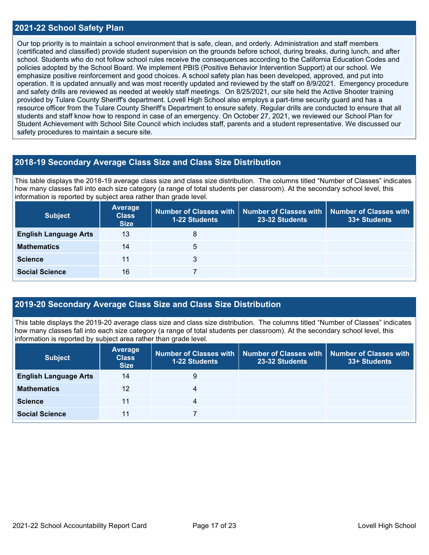#### **2021-22 School Safety Plan**

Our top priority is to maintain a school environment that is safe, clean, and orderly. Administration and staff members (certificated and classified) provide student supervision on the grounds before school, during breaks, during lunch, and after school. Students who do not follow school rules receive the consequences according to the California Education Codes and policies adopted by the School Board. We implement PBIS (Positive Behavior Intervention Support) at our school. We emphasize positive reinforcement and good choices. A school safety plan has been developed, approved, and put into operation. It is updated annually and was most recently updated and reviewed by the staff on 8/9/2021. Emergency procedure and safety drills are reviewed as needed at weekly staff meetings. On 8/25/2021, our site held the Active Shooter training provided by Tulare County Sheriff's department. Lovell High School also employs a part-time security guard and has a resource officer from the Tulare County Sheriff's Department to ensure safety. Regular drills are conducted to ensure that all students and staff know how to respond in case of an emergency. On October 27, 2021, we reviewed our School Plan for Student Achievement with School Site Council which includes staff, parents and a student representative. We discussed our safety procedures to maintain a secure site.

#### **2018-19 Secondary Average Class Size and Class Size Distribution**

This table displays the 2018-19 average class size and class size distribution. The columns titled "Number of Classes" indicates how many classes fall into each size category (a range of total students per classroom). At the secondary school level, this information is reported by subject area rather than grade level.

| <b>Subject</b>               | Average<br><b>Class</b><br><b>Size</b> | 1-22 Students | Number of Classes with   Number of Classes with  <br>23-32 Students | Number of Classes with<br>33+ Students |
|------------------------------|----------------------------------------|---------------|---------------------------------------------------------------------|----------------------------------------|
| <b>English Language Arts</b> | 13                                     | 8             |                                                                     |                                        |
| <b>Mathematics</b>           | 14                                     | 5             |                                                                     |                                        |
| <b>Science</b>               | 11                                     | 3             |                                                                     |                                        |
| <b>Social Science</b>        | 16                                     |               |                                                                     |                                        |

#### **2019-20 Secondary Average Class Size and Class Size Distribution**

This table displays the 2019-20 average class size and class size distribution. The columns titled "Number of Classes" indicates how many classes fall into each size category (a range of total students per classroom). At the secondary school level, this information is reported by subject area rather than grade level.

| <b>Subject</b>               | <b>Average</b><br><b>Class</b><br><b>Size</b> | <b>1-22 Students</b> | Number of Classes with   Number of Classes with  <br>23-32 Students | Number of Classes with<br>33+ Students |
|------------------------------|-----------------------------------------------|----------------------|---------------------------------------------------------------------|----------------------------------------|
| <b>English Language Arts</b> | 14                                            | 9                    |                                                                     |                                        |
| <b>Mathematics</b>           | 12                                            | 4                    |                                                                     |                                        |
| <b>Science</b>               | 11                                            | 4                    |                                                                     |                                        |
| <b>Social Science</b>        | 11                                            |                      |                                                                     |                                        |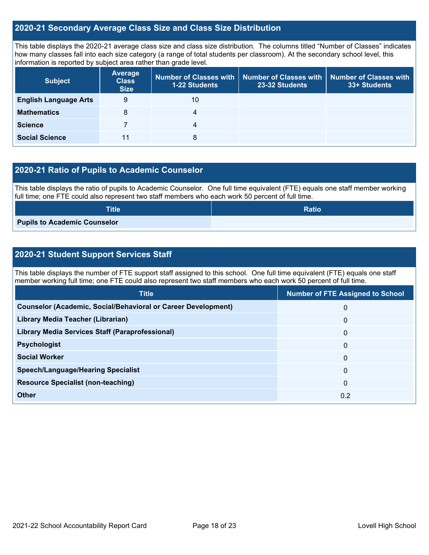#### **2020-21 Secondary Average Class Size and Class Size Distribution**

This table displays the 2020-21 average class size and class size distribution. The columns titled "Number of Classes" indicates how many classes fall into each size category (a range of total students per classroom). At the secondary school level, this information is reported by subject area rather than grade level.

| <b>Subject</b>               | <b>Average</b><br><b>Class</b><br><b>Size</b> | Number of Classes with<br>1-22 Students | <b>Number of Classes with</b><br>23-32 Students | <b>Number of Classes with</b><br>33+ Students |
|------------------------------|-----------------------------------------------|-----------------------------------------|-------------------------------------------------|-----------------------------------------------|
| <b>English Language Arts</b> | 9                                             | 10                                      |                                                 |                                               |
| <b>Mathematics</b>           | 8                                             | 4                                       |                                                 |                                               |
| <b>Science</b>               |                                               | 4                                       |                                                 |                                               |
| <b>Social Science</b>        | 11                                            | 8                                       |                                                 |                                               |

### **2020-21 Ratio of Pupils to Academic Counselor**

This table displays the ratio of pupils to Academic Counselor. One full time equivalent (FTE) equals one staff member working full time; one FTE could also represent two staff members who each work 50 percent of full time.

| <b>Title</b>                        | <b>Ratio</b> |
|-------------------------------------|--------------|
| <b>Pupils to Academic Counselor</b> |              |

### **2020-21 Student Support Services Staff**

This table displays the number of FTE support staff assigned to this school. One full time equivalent (FTE) equals one staff member working full time; one FTE could also represent two staff members who each work 50 percent of full time.

| <b>Title</b>                                                         | <b>Number of FTE Assigned to School</b> |
|----------------------------------------------------------------------|-----------------------------------------|
| <b>Counselor (Academic, Social/Behavioral or Career Development)</b> | 0                                       |
| Library Media Teacher (Librarian)                                    | $\mathbf 0$                             |
| <b>Library Media Services Staff (Paraprofessional)</b>               | $\mathbf{0}$                            |
| <b>Psychologist</b>                                                  | $\mathbf{0}$                            |
| <b>Social Worker</b>                                                 | $\mathbf 0$                             |
| <b>Speech/Language/Hearing Specialist</b>                            | $\Omega$                                |
| <b>Resource Specialist (non-teaching)</b>                            | $\mathbf{0}$                            |
| Other                                                                | 0.2                                     |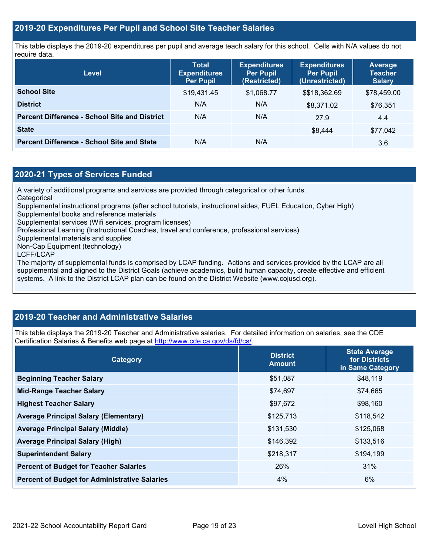#### **2019-20 Expenditures Per Pupil and School Site Teacher Salaries**

This table displays the 2019-20 expenditures per pupil and average teach salary for this school. Cells with N/A values do not require data.

| Level                                                | <b>Total</b><br><b>Expenditures</b><br><b>Per Pupil</b> | <b>Expenditures</b><br><b>Per Pupil</b><br>(Restricted) | <b>Expenditures</b><br><b>Per Pupil</b><br>(Unrestricted) | <b>Average</b><br><b>Teacher</b><br><b>Salary</b> |
|------------------------------------------------------|---------------------------------------------------------|---------------------------------------------------------|-----------------------------------------------------------|---------------------------------------------------|
| <b>School Site</b>                                   | \$19,431.45                                             | \$1,068.77                                              | \$\$18,362.69                                             | \$78,459.00                                       |
| <b>District</b>                                      | N/A                                                     | N/A                                                     | \$8,371.02                                                | \$76,351                                          |
| <b>Percent Difference - School Site and District</b> | N/A                                                     | N/A                                                     | 27.9                                                      | 4.4                                               |
| <b>State</b>                                         |                                                         |                                                         | \$8.444                                                   | \$77,042                                          |
| <b>Percent Difference - School Site and State</b>    | N/A                                                     | N/A                                                     |                                                           | 3.6                                               |

### **2020-21 Types of Services Funded**

A variety of additional programs and services are provided through categorical or other funds.

- **Categorical**
- Supplemental instructional programs (after school tutorials, instructional aides, FUEL Education, Cyber High)
- Supplemental books and reference materials

Supplemental services (Wifi services, program licenses)

Professional Learning (Instructional Coaches, travel and conference, professional services)

Supplemental materials and supplies

Non-Cap Equipment (technology)

LCFF/LCAP

The majority of supplemental funds is comprised by LCAP funding. Actions and services provided by the LCAP are all supplemental and aligned to the District Goals (achieve academics, build human capacity, create effective and efficient systems. A link to the District LCAP plan can be found on the District Website (www.cojusd.org).

# **2019-20 Teacher and Administrative Salaries**

This table displays the 2019-20 Teacher and Administrative salaries. For detailed information on salaries, see the CDE Certification Salaries & Benefits web page at [http://www.cde.ca.gov/ds/fd/cs/.](http://www.cde.ca.gov/ds/fd/cs/)

| Category                                             | <b>District</b><br><b>Amount</b> | <b>State Average</b><br>for Districts<br>in Same Category |
|------------------------------------------------------|----------------------------------|-----------------------------------------------------------|
| <b>Beginning Teacher Salary</b>                      | \$51,087                         | \$48,119                                                  |
| <b>Mid-Range Teacher Salary</b>                      | \$74,697                         | \$74,665                                                  |
| <b>Highest Teacher Salary</b>                        | \$97,672                         | \$98,160                                                  |
| <b>Average Principal Salary (Elementary)</b>         | \$125,713                        | \$118,542                                                 |
| <b>Average Principal Salary (Middle)</b>             | \$131,530                        | \$125,068                                                 |
| <b>Average Principal Salary (High)</b>               | \$146,392                        | \$133,516                                                 |
| <b>Superintendent Salary</b>                         | \$218,317                        | \$194,199                                                 |
| <b>Percent of Budget for Teacher Salaries</b>        | 26%                              | 31%                                                       |
| <b>Percent of Budget for Administrative Salaries</b> | 4%                               | 6%                                                        |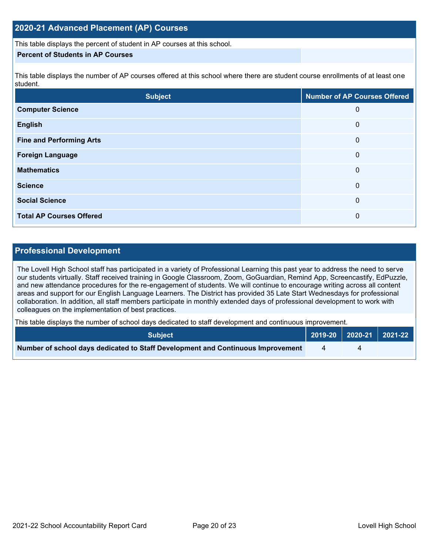### **2020-21 Advanced Placement (AP) Courses**

This table displays the percent of student in AP courses at this school.

#### **Percent of Students in AP Courses**

This table displays the number of AP courses offered at this school where there are student course enrollments of at least one student.

| <b>Subject</b>                  | <b>Number of AP Courses Offered</b> |
|---------------------------------|-------------------------------------|
| <b>Computer Science</b>         | 0                                   |
| <b>English</b>                  | 0                                   |
| <b>Fine and Performing Arts</b> | 0                                   |
| <b>Foreign Language</b>         | 0                                   |
| <b>Mathematics</b>              | 0                                   |
| <b>Science</b>                  | 0                                   |
| <b>Social Science</b>           | 0                                   |
| <b>Total AP Courses Offered</b> | 0                                   |

#### **Professional Development**

The Lovell High School staff has participated in a variety of Professional Learning this past year to address the need to serve our students virtually. Staff received training in Google Classroom, Zoom, GoGuardian, Remind App, Screencastify, EdPuzzle, and new attendance procedures for the re-engagement of students. We will continue to encourage writing across all content areas and support for our English Language Learners. The District has provided 35 Late Start Wednesdays for professional collaboration. In addition, all staff members participate in monthly extended days of professional development to work with colleagues on the implementation of best practices.

This table displays the number of school days dedicated to staff development and continuous improvement.

| <b>Subject</b>                                                                  |  | $\vert$ 2019-20 $\vert$ 2020-21 $\vert$ 2021-22 $\vert$ |
|---------------------------------------------------------------------------------|--|---------------------------------------------------------|
| Number of school days dedicated to Staff Development and Continuous Improvement |  |                                                         |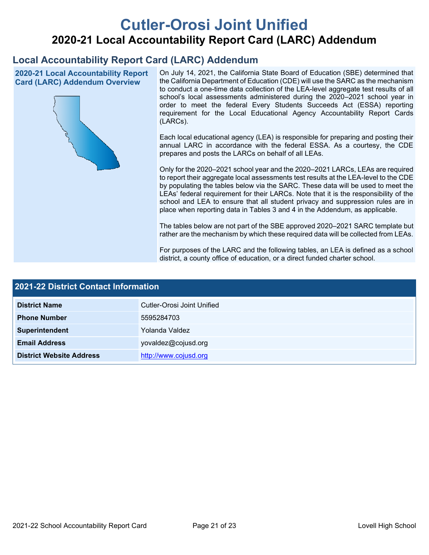# **Cutler-Orosi Joint Unified 2020-21 Local Accountability Report Card (LARC) Addendum**

# **Local Accountability Report Card (LARC) Addendum**

**2020-21 Local Accountability Report Card (LARC) Addendum Overview**



On July 14, 2021, the California State Board of Education (SBE) determined that the California Department of Education (CDE) will use the SARC as the mechanism to conduct a one-time data collection of the LEA-level aggregate test results of all school's local assessments administered during the 2020–2021 school year in order to meet the federal Every Students Succeeds Act (ESSA) reporting requirement for the Local Educational Agency Accountability Report Cards (LARCs).

Each local educational agency (LEA) is responsible for preparing and posting their annual LARC in accordance with the federal ESSA. As a courtesy, the CDE prepares and posts the LARCs on behalf of all LEAs.

Only for the 2020–2021 school year and the 2020–2021 LARCs, LEAs are required to report their aggregate local assessments test results at the LEA-level to the CDE by populating the tables below via the SARC. These data will be used to meet the LEAs' federal requirement for their LARCs. Note that it is the responsibility of the school and LEA to ensure that all student privacy and suppression rules are in place when reporting data in Tables 3 and 4 in the Addendum, as applicable.

The tables below are not part of the SBE approved 2020–2021 SARC template but rather are the mechanism by which these required data will be collected from LEAs.

For purposes of the LARC and the following tables, an LEA is defined as a school district, a county office of education, or a direct funded charter school.

| 2021-22 District Contact Information |                            |  |  |
|--------------------------------------|----------------------------|--|--|
| <b>District Name</b>                 | Cutler-Orosi Joint Unified |  |  |
| <b>Phone Number</b>                  | 5595284703                 |  |  |
| Superintendent                       | Yolanda Valdez             |  |  |
| <b>Email Address</b>                 | yovaldez@cojusd.org        |  |  |
| <b>District Website Address</b>      | http://www.cojusd.org      |  |  |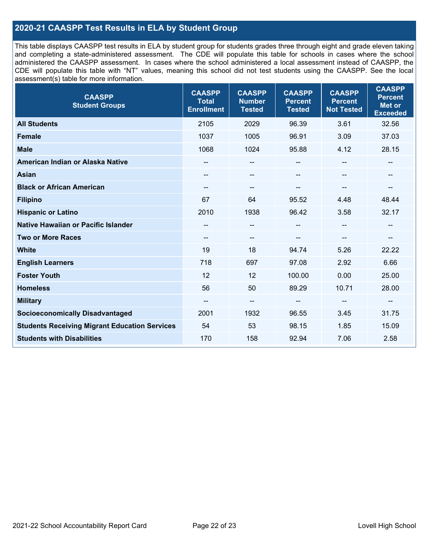### **2020-21 CAASPP Test Results in ELA by Student Group**

This table displays CAASPP test results in ELA by student group for students grades three through eight and grade eleven taking and completing a state-administered assessment. The CDE will populate this table for schools in cases where the school administered the CAASPP assessment. In cases where the school administered a local assessment instead of CAASPP, the CDE will populate this table with "NT" values, meaning this school did not test students using the CAASPP. See the local assessment(s) table for more information.

| <b>CAASPP</b><br><b>Student Groups</b>               | <b>CAASPP</b><br><b>Total</b><br><b>Enrollment</b> | <b>CAASPP</b><br><b>Number</b><br><b>Tested</b> | <b>CAASPP</b><br><b>Percent</b><br><b>Tested</b> | <b>CAASPP</b><br><b>Percent</b><br><b>Not Tested</b> | <b>CAASPP</b><br><b>Percent</b><br><b>Met or</b><br><b>Exceeded</b> |
|------------------------------------------------------|----------------------------------------------------|-------------------------------------------------|--------------------------------------------------|------------------------------------------------------|---------------------------------------------------------------------|
| <b>All Students</b>                                  | 2105                                               | 2029                                            | 96.39                                            | 3.61                                                 | 32.56                                                               |
| <b>Female</b>                                        | 1037                                               | 1005                                            | 96.91                                            | 3.09                                                 | 37.03                                                               |
| <b>Male</b>                                          | 1068                                               | 1024                                            | 95.88                                            | 4.12                                                 | 28.15                                                               |
| American Indian or Alaska Native                     | $\qquad \qquad -$                                  | $\overline{\phantom{a}}$                        | --                                               | $-$                                                  | --                                                                  |
| <b>Asian</b>                                         |                                                    | --                                              |                                                  |                                                      | --                                                                  |
| <b>Black or African American</b>                     | $\qquad \qquad -$                                  | $\sim$                                          | --                                               | --                                                   | --                                                                  |
| <b>Filipino</b>                                      | 67                                                 | 64                                              | 95.52                                            | 4.48                                                 | 48.44                                                               |
| <b>Hispanic or Latino</b>                            | 2010                                               | 1938                                            | 96.42                                            | 3.58                                                 | 32.17                                                               |
| Native Hawaiian or Pacific Islander                  | --                                                 | $\overline{\phantom{m}}$                        | --                                               | $\overline{\phantom{a}}$                             | --                                                                  |
| <b>Two or More Races</b>                             | --                                                 | $\qquad \qquad -$                               | --                                               | --                                                   | --                                                                  |
| <b>White</b>                                         | 19                                                 | 18                                              | 94.74                                            | 5.26                                                 | 22.22                                                               |
| <b>English Learners</b>                              | 718                                                | 697                                             | 97.08                                            | 2.92                                                 | 6.66                                                                |
| <b>Foster Youth</b>                                  | 12                                                 | 12                                              | 100.00                                           | 0.00                                                 | 25.00                                                               |
| <b>Homeless</b>                                      | 56                                                 | 50                                              | 89.29                                            | 10.71                                                | 28.00                                                               |
| <b>Military</b>                                      | --                                                 | --                                              | --                                               | --                                                   | --                                                                  |
| <b>Socioeconomically Disadvantaged</b>               | 2001                                               | 1932                                            | 96.55                                            | 3.45                                                 | 31.75                                                               |
| <b>Students Receiving Migrant Education Services</b> | 54                                                 | 53                                              | 98.15                                            | 1.85                                                 | 15.09                                                               |
| <b>Students with Disabilities</b>                    | 170                                                | 158                                             | 92.94                                            | 7.06                                                 | 2.58                                                                |